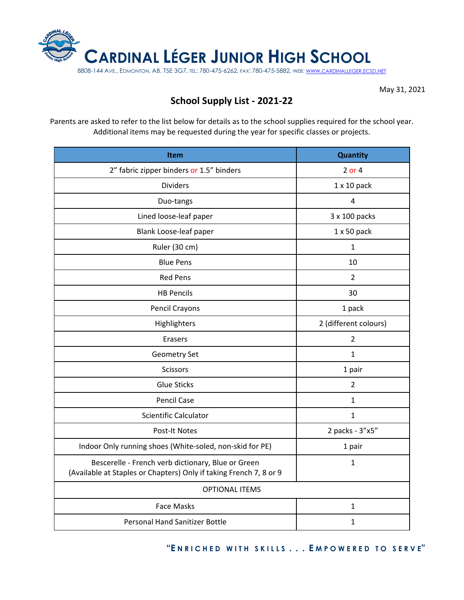

May 31, 2021

## **School Supply List - 2021-22**

Parents are asked to refer to the list below for details as to the school supplies required for the school year. Additional items may be requested during the year for specific classes or projects.

| <b>Item</b>                                                                                                              | <b>Quantity</b>       |
|--------------------------------------------------------------------------------------------------------------------------|-----------------------|
| 2" fabric zipper binders or 1.5" binders                                                                                 | 2 or 4                |
| <b>Dividers</b>                                                                                                          | $1 \times 10$ pack    |
| Duo-tangs                                                                                                                | 4                     |
| Lined loose-leaf paper                                                                                                   | 3 x 100 packs         |
| Blank Loose-leaf paper                                                                                                   | $1 \times 50$ pack    |
| Ruler (30 cm)                                                                                                            | 1                     |
| <b>Blue Pens</b>                                                                                                         | 10                    |
| <b>Red Pens</b>                                                                                                          | 2                     |
| <b>HB Pencils</b>                                                                                                        | 30                    |
| Pencil Crayons                                                                                                           | 1 pack                |
| Highlighters                                                                                                             | 2 (different colours) |
| Erasers                                                                                                                  | $\overline{2}$        |
| Geometry Set                                                                                                             | $\mathbf{1}$          |
| <b>Scissors</b>                                                                                                          | 1 pair                |
| <b>Glue Sticks</b>                                                                                                       | $\overline{2}$        |
| <b>Pencil Case</b>                                                                                                       | $\mathbf{1}$          |
| Scientific Calculator                                                                                                    | $\mathbf{1}$          |
| <b>Post-It Notes</b>                                                                                                     | 2 packs - 3"x5"       |
| Indoor Only running shoes (White-soled, non-skid for PE)                                                                 | 1 pair                |
| Bescerelle - French verb dictionary, Blue or Green<br>(Available at Staples or Chapters) Only if taking French 7, 8 or 9 | $\mathbf{1}$          |
| <b>OPTIONAL ITEMS</b>                                                                                                    |                       |
| <b>Face Masks</b>                                                                                                        | $\mathbf{1}$          |
| <b>Personal Hand Sanitizer Bottle</b>                                                                                    | 1                     |

**"E N R I C H E D W I T H S K I L L S . . . E M P O W E R E D T O S E R V E"**